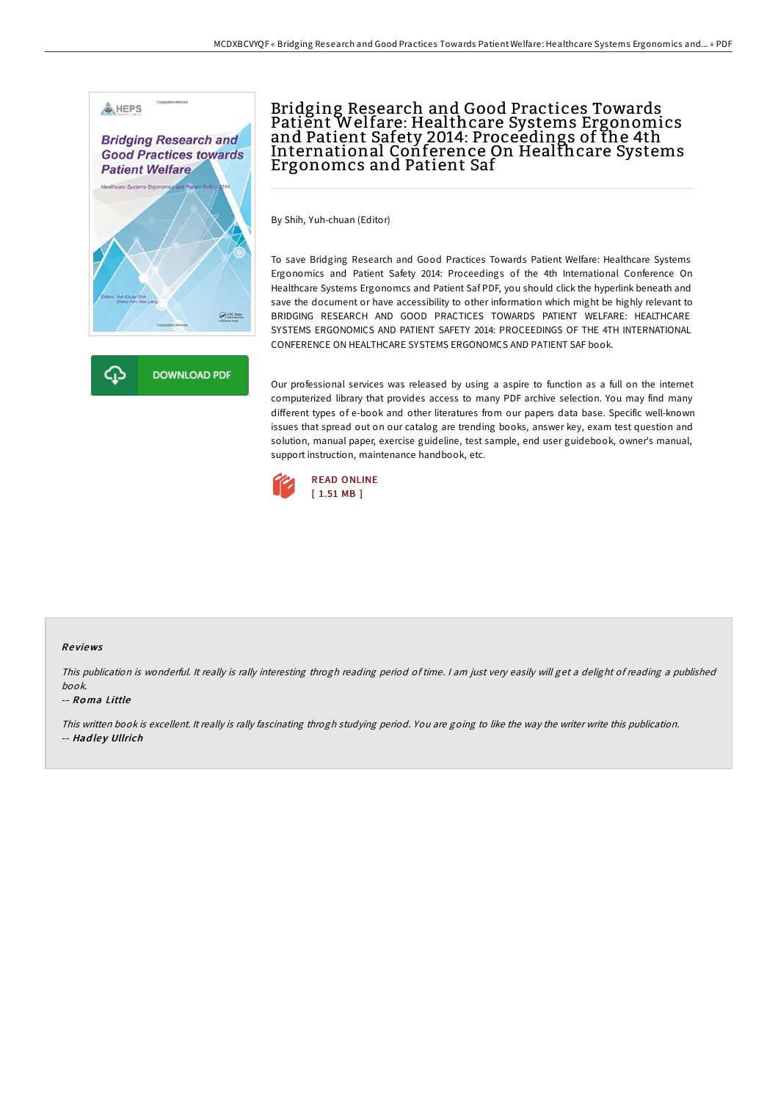



## Bridging Research and Good Practices Towards Patient Welfare: Healthcare Systems Ergonomics and Patient Safety 2014: Proceedings of the 4th International Conference On Healthcare Systems Ergonomcs and Patient Saf

By Shih, Yuh-chuan (Editor)

To save Bridging Research and Good Practices Towards Patient Welfare: Healthcare Systems Ergonomics and Patient Safety 2014: Proceedings of the 4th International Conference On Healthcare Systems Ergonomcs and Patient Saf PDF, you should click the hyperlink beneath and save the document or have accessibility to other information which might be highly relevant to BRIDGING RESEARCH AND GOOD PRACTICES TOWARDS PATIENT WELFARE: HEALTHCARE SYSTEMS ERGONOMICS AND PATIENT SAFETY 2014: PROCEEDINGS OF THE 4TH INTERNATIONAL CONFERENCE ON HEALTHCARE SYSTEMS ERGONOMCS AND PATIENT SAF book.

Our professional services was released by using a aspire to function as a full on the internet computerized library that provides access to many PDF archive selection. You may find many different types of e-book and other literatures from our papers data base. Specific well-known issues that spread out on our catalog are trending books, answer key, exam test question and solution, manual paper, exercise guideline, test sample, end user guidebook, owner's manual, support instruction, maintenance handbook, etc.



## Re views

This publication is wonderful. It really is rally interesting throgh reading period of time. <sup>I</sup> am just very easily will get <sup>a</sup> delight of reading <sup>a</sup> published book.

## -- Ro ma Little

This written book is excellent. It really is rally fascinating throgh studying period. You are going to like the way the writer write this publication. -- Hadley Ullrich